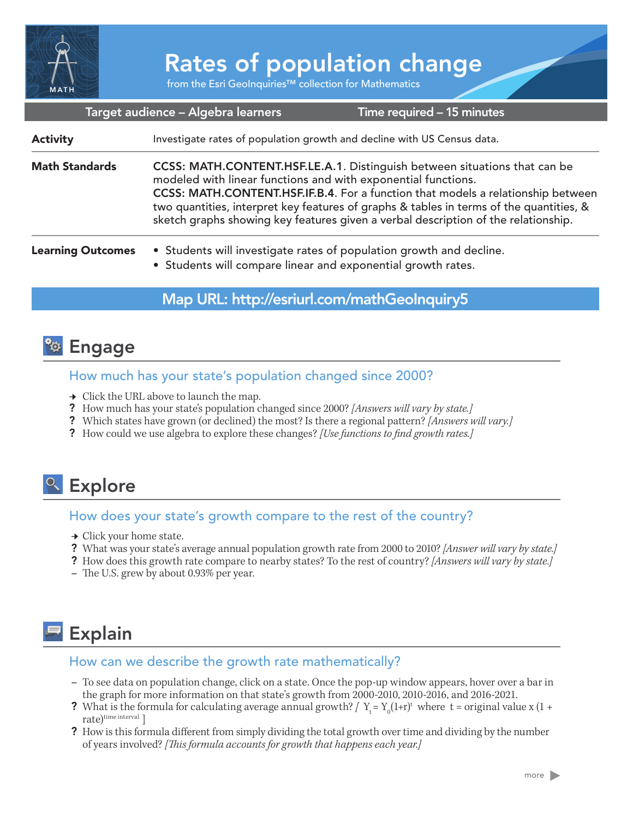

# Rates of population change

from the Esri GeoInquiries™ collection for Mathematics

| Target audience - Algebra learners<br>Time required - 15 minutes |                                                                                                                                                                                                                                                                                                                                                                                                                 |  |
|------------------------------------------------------------------|-----------------------------------------------------------------------------------------------------------------------------------------------------------------------------------------------------------------------------------------------------------------------------------------------------------------------------------------------------------------------------------------------------------------|--|
| <b>Activity</b>                                                  | Investigate rates of population growth and decline with US Census data.                                                                                                                                                                                                                                                                                                                                         |  |
| <b>Math Standards</b>                                            | CCSS: MATH.CONTENT.HSF.LE.A.1. Distinguish between situations that can be<br>modeled with linear functions and with exponential functions.<br>CCSS: MATH.CONTENT.HSF.IF.B.4. For a function that models a relationship between<br>two quantities, interpret key features of graphs & tables in terms of the quantities, &<br>sketch graphs showing key features given a verbal description of the relationship. |  |
| <b>Learning Outcomes</b>                                         | • Students will investigate rates of population growth and decline.<br>• Students will compare linear and exponential growth rates.                                                                                                                                                                                                                                                                             |  |

### Map URL: http://esriurl.com/mathGeoInquiry5

### **<sup>to</sup> Engage**

#### How much has your state's population changed since 2000?

- $\rightarrow$  Click the URL above to launch the map.
- ? How much has your state's population changed since 2000? *[Answers will vary by state.]*
- ? Which states have grown (or declined) the most? Is there a regional pattern? *[Answers will vary.]*
- ? How could we use algebra to explore these changes? *[Use functions to find growth rates.]*

## <sup>o</sup> Explore

#### How does your state's growth compare to the rest of the country?

- $\rightarrow$  Click your home state.
- ? What was your state's average annual population growth rate from 2000 to 2010? *[Answer will vary by state.]*
- ? How does this growth rate compare to nearby states? To the rest of country? *[Answers will vary by state.]*
- **–** The U.S. grew by about 0.93% per year.

## **Explain**

#### How can we describe the growth rate mathematically?

- **–** To see data on population change, click on a state. Once the pop-up window appears, hover over a bar in the graph for more information on that state's growth from 2000-2010, 2010-2016, and 2016-2021.
- ? What is the formula for calculating average annual growth?  $\int Y_t = Y_0(1+r)^t$  where  $t =$  original value x (1 + rate)<sup>time</sup> interval ]
- ? How is this formula different from simply dividing the total growth over time and dividing by the number of years involved? *[This formula accounts for growth that happens each year.]*